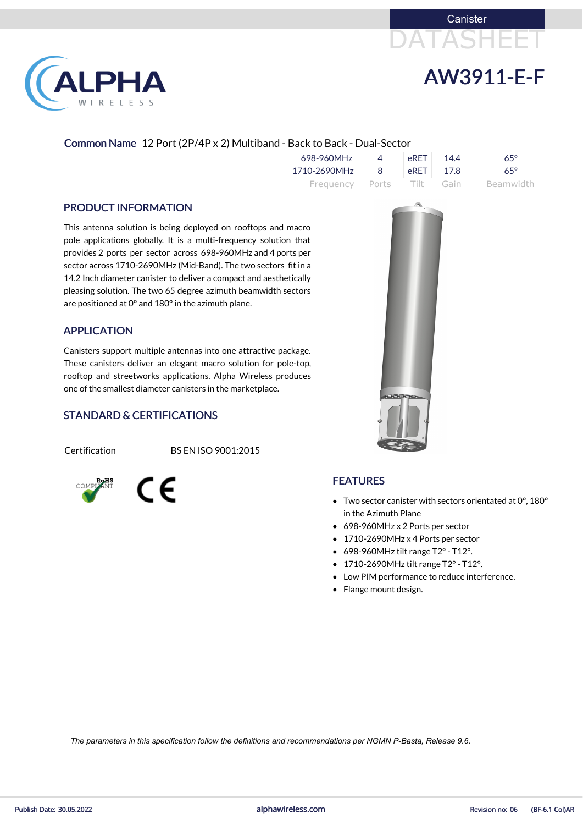



# Common Name 12 Port (2P/4P x 2) Multiband - Back to Back - Dual-Sector

| 698-960MHz                | $\Delta$ | $e$ RET | 14.4 | $65^\circ$ |
|---------------------------|----------|---------|------|------------|
| 1710-2690MHz              | - 8 -    | LeRET L | 17.8 | $65^\circ$ |
| Frequency Ports Tilt Gain |          |         |      | Beamwidth  |

#### PRODUCT INFORMATION

**LPHA** 

RELESS

This antenna solution is being deployed on rooftops and macro pole applications globally. It is a multi-frequency solution that provides 2 ports per sector across 698-960MHz and 4 ports per sector across 1710-2690MHz (Mid-Band). The two sectors fit in a 14.2 Inch diameter canister to deliver a compact and aesthetically pleasing solution. The two 65 degree azimuth beamwidth sectors are positioned at 0° and 180°in the azimuth plane.

### APPLICATION

Canisters support multiple antennas into one attractive package. These canisters deliver an elegant macro solution for pole-top, rooftop and streetworks applications. Alpha Wireless produces one of the smallest diameter canisters in the marketplace.

# STANDARD & CERTIFICATIONS

C E

Certification BS EN ISO 9001:2015





# FEATURES

- Two sector canister with sectors orientated at 0°, 180° in the Azimuth Plane
- 698-960MHz x 2 Ports per sector
- 1710-2690MHz x 4 Ports per sector
- $\bullet$  698-960MHz tilt range T2° T12°.
- 1710-2690MHz tilt range T2°- T12°.
- Low PIM performance to reduce interference.
- Flange mount design.

*The parameters in this specification follow the definitions and recommendations per NGMN P-Basta, Release 9.6.*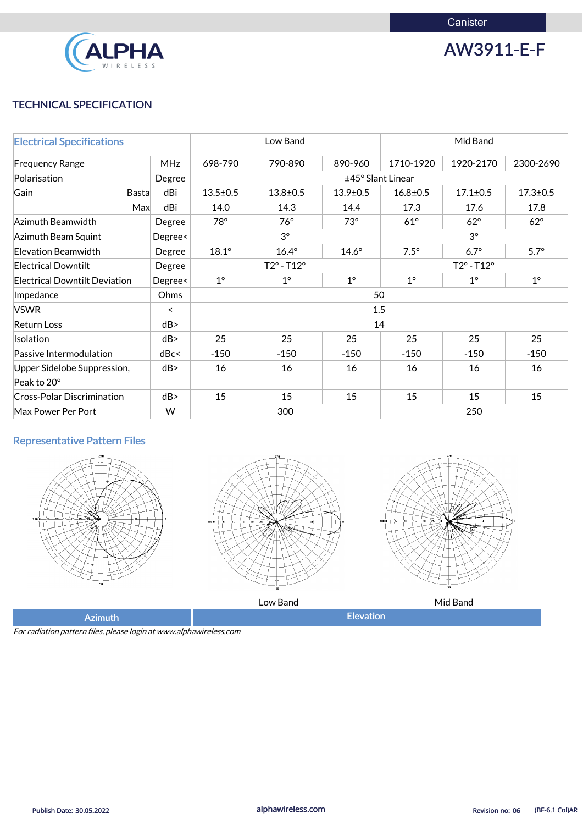

AW3911-E-F

# TECHNICAL SPECIFICATION

| <b>Electrical Specifications</b>                |                                |         | Low Band                   |                |                | Mid Band                   |                |                |
|-------------------------------------------------|--------------------------------|---------|----------------------------|----------------|----------------|----------------------------|----------------|----------------|
| <b>MHz</b><br><b>Frequency Range</b>            |                                |         | 698-790                    | 790-890        | 890-960        | 1710-1920                  | 1920-2170      | 2300-2690      |
| Polarisation                                    |                                | Degree  | ±45° Slant Linear          |                |                |                            |                |                |
| Gain                                            | <b>Basta</b>                   | dBi     | $13.5 \pm 0.5$             | $13.8 \pm 0.5$ | $13.9 \pm 0.5$ | $16.8 \pm 0.5$             | $17.1 \pm 0.5$ | $17.3 \pm 0.5$ |
|                                                 | Max                            | dBi     | 14.0                       | 14.3           | 14.4           | 17.3                       | 17.6           | 17.8           |
| Azimuth Beamwidth                               |                                | Degree  | 78°                        | $76^\circ$     | $73^\circ$     | $61^\circ$                 | $62^\circ$     | $62^\circ$     |
|                                                 | Azimuth Beam Squint<br>Degree< |         |                            | $3^\circ$      |                | $3^\circ$                  |                |                |
| <b>Elevation Beamwidth</b>                      |                                | Degree  | $18.1^\circ$               | $16.4^\circ$   | $14.6^\circ$   | $7.5^\circ$                | $6.7^\circ$    | $5.7^\circ$    |
| <b>Electrical Downtilt</b>                      |                                | Degree  | $T2^{\circ} - T12^{\circ}$ |                |                | $T2^{\circ} - T12^{\circ}$ |                |                |
| <b>Electrical Downtilt Deviation</b><br>Degree< |                                |         | $1^{\circ}$                | $1^{\circ}$    | $1^\circ$      | $1^{\circ}$                | $1^{\circ}$    | $1^\circ$      |
| Impedance                                       |                                | Ohms    | 50                         |                |                |                            |                |                |
| <b>VSWR</b>                                     |                                | $\prec$ |                            |                |                | 1.5                        |                |                |
| <b>Return Loss</b>                              |                                | dB      |                            |                |                | 14                         |                |                |
| Isolation                                       |                                | dB      | 25                         | 25             | 25             | 25                         | 25             | 25             |
| Passive Intermodulation                         |                                | dBc<    | $-150$                     | $-150$         | $-150$         | $-150$                     | $-150$         | $-150$         |
| Upper Sidelobe Suppression,                     |                                | dB      | 16                         | 16             | 16             | 16                         | 16             | 16             |
| Peak to 20°                                     |                                |         |                            |                |                |                            |                |                |
| <b>Cross-Polar Discrimination</b>               |                                | dB      | 15                         | 15             | 15             | 15                         | 15             | 15             |
| W<br>Max Power Per Port                         |                                |         | 300                        |                |                | 250                        |                |                |

# Representative Pattern Files







Low Band Government Communications and Mid Band

Azimuth **Elevation** 

For radiation pattern files, please login at www.alphawireless.com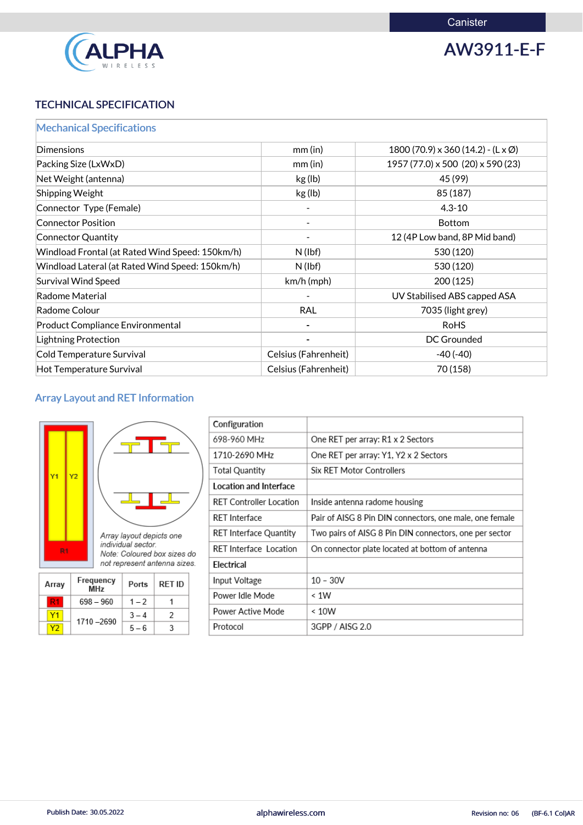

AW3911-E-F

# TECHNICAL SPECIFICATION

|  |  |  | <b>Mechanical Specifications</b> |  |  |
|--|--|--|----------------------------------|--|--|
|  |  |  |                                  |  |  |

| Dimensions                                      | mm(in)               | $1800(70.9) \times 360(14.2) - (\mathsf{L} \times \emptyset)$ |
|-------------------------------------------------|----------------------|---------------------------------------------------------------|
| Packing Size (LxWxD)                            | mm(in)               | 1957 (77.0) x 500 (20) x 590 (23)                             |
| Net Weight (antenna)                            | kg (lb)              | 45 (99)                                                       |
| Shipping Weight                                 | kg (lb)              | 85 (187)                                                      |
| Connector Type (Female)                         |                      | $4.3 - 10$                                                    |
| <b>Connector Position</b>                       |                      | <b>Bottom</b>                                                 |
| <b>Connector Quantity</b>                       |                      | 12 (4P Low band, 8P Mid band)                                 |
| Windload Frontal (at Rated Wind Speed: 150km/h) | $N$ (lbf)            | 530 (120)                                                     |
| Windload Lateral (at Rated Wind Speed: 150km/h) | $N$ (lbf)            | 530 (120)                                                     |
| <b>Survival Wind Speed</b>                      | $km/h$ (mph)         | 200 (125)                                                     |
| Radome Material                                 |                      | UV Stabilised ABS capped ASA                                  |
| Radome Colour                                   | <b>RAL</b>           | 7035 (light grey)                                             |
| <b>Product Compliance Environmental</b>         |                      | <b>RoHS</b>                                                   |
| Lightning Protection                            |                      | <b>DC Grounded</b>                                            |
| Cold Temperature Survival                       | Celsius (Fahrenheit) | $-40(-40)$                                                    |
| Hot Temperature Survival                        | Celsius (Fahrenheit) | 70 (158)                                                      |

# Array Layout and RET Information

| Υ1<br>R <sub>1</sub> | Y2 |                  | Array layout depicts one<br>individual sector. | Note: Coloured box sizes do<br>not represent antenna sizes. | F<br>F<br>F<br>F<br>E |
|----------------------|----|------------------|------------------------------------------------|-------------------------------------------------------------|-----------------------|
| Array                |    | Frequency<br>MHz | Ports                                          | <b>RET ID</b>                                               |                       |
|                      |    | $698 - 960$      | $1 - 2$                                        |                                                             | F                     |

| Configuration                  |                                                         |
|--------------------------------|---------------------------------------------------------|
| 698-960 MHz                    | One RET per array: R1 x 2 Sectors                       |
| 1710-2690 MHz                  | One RET per array: Y1, Y2 x 2 Sectors                   |
| <b>Total Quantity</b>          | <b>Six RET Motor Controllers</b>                        |
| Location and Interface         |                                                         |
| <b>RET Controller Location</b> | Inside antenna radome housing                           |
| <b>RET</b> Interface           | Pair of AISG 8 Pin DIN connectors, one male, one female |
| RET Interface Quantity         | Two pairs of AISG 8 Pin DIN connectors, one per sector  |
| <b>RET</b> Interface Location  | On connector plate located at bottom of antenna         |
| Electrical                     |                                                         |
| Input Voltage                  | $10 - 30V$                                              |
| Power Idle Mode                | < 1W                                                    |
| Power Active Mode              | < 10W                                                   |
| Protocol                       | 3GPP / AISG 2.0                                         |

| 1710 - 2690 |  |
|-------------|--|
|             |  |

 $3 - 4$ 

 $\sqrt{2}$ 

 $Y1$ 

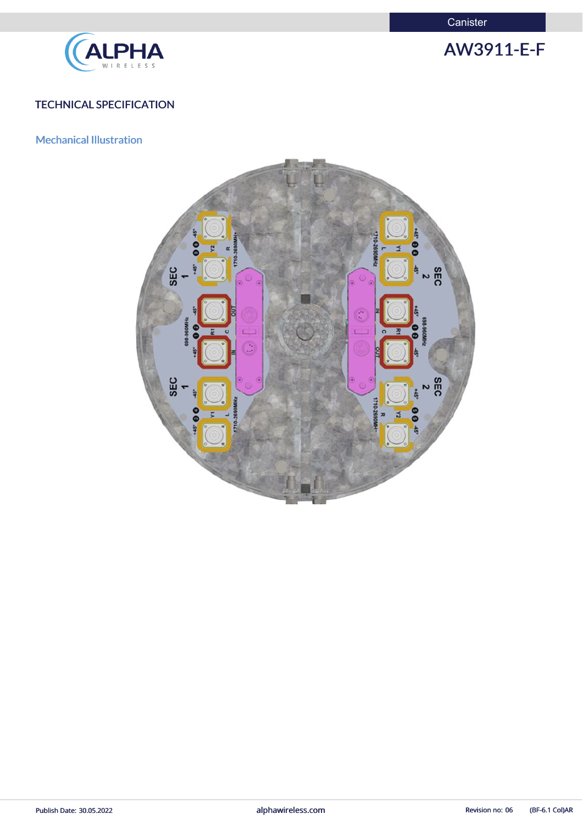**Canister** 



AW3911-E-F

# TECHNICAL SPECIFICATION

# Mechanical Illustration